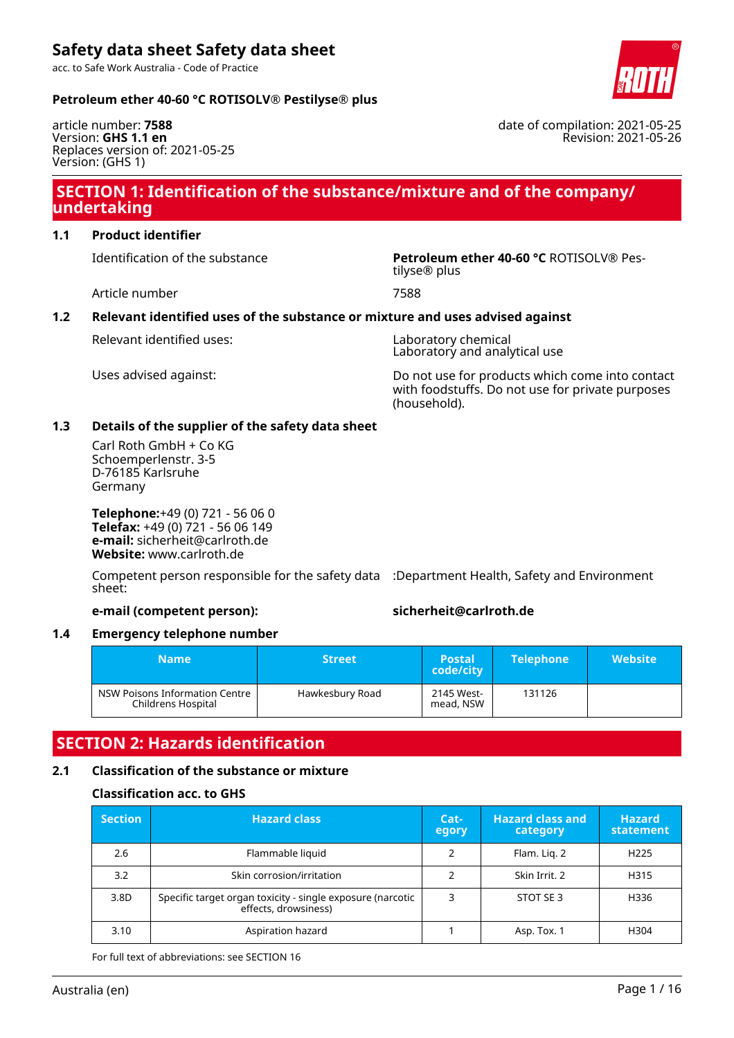acc. to Safe Work Australia - Code of Practice

### **Petroleum ether 40-60 °C ROTISOLV® Pestilyse® plus**

article number: **7588** Version: **GHS 1.1 en** Replaces version of: 2021-05-25 Version: (GHS 1)

# **SECTION 1: Identification of the substance/mixture and of the company/ undertaking**

# **1.1 Product identifier**

Identification of the substance **Petroleum ether 40-60 °C** ROTISOLV® Pes-

Article number 7588

### **1.2 Relevant identified uses of the substance or mixture and uses advised against**

Relevant identified uses: Laboratory chemical

Laboratory and analytical use

Uses advised against: Do not use for products which come into contact with foodstuffs. Do not use for private purposes (household).

### **1.3 Details of the supplier of the safety data sheet**

Carl Roth GmbH + Co KG Schoemperlenstr. 3-5 D-76185 Karlsruhe Germany

**Telephone:**+49 (0) 721 - 56 06 0 **Telefax:** +49 (0) 721 - 56 06 149 **e-mail:** sicherheit@carlroth.de **Website:** www.carlroth.de

Competent person responsible for the safety data :Department Health, Safety and Environment sheet:

### **e-mail (competent person): sicherheit@carlroth.de**

### **1.4 Emergency telephone number**

| <b>Name</b>                                          | <b>Street</b>   | <b>Postal</b><br>code/city | <b>Telephone</b> | <b>Website</b> |
|------------------------------------------------------|-----------------|----------------------------|------------------|----------------|
| NSW Poisons Information Centre<br>Childrens Hospital | Hawkesbury Road | 2145 West-<br>mead, NSW    | 131126           |                |

# **SECTION 2: Hazards identification**

# **2.1 Classification of the substance or mixture**

### **Classification acc. to GHS**

| <b>Section</b> | <b>Hazard class</b>                                                                | Cat-<br>egory | <b>Hazard class and</b><br>category | <b>Hazard</b><br>statement |
|----------------|------------------------------------------------------------------------------------|---------------|-------------------------------------|----------------------------|
| 2.6            | Flammable liquid                                                                   |               | Flam. Lig. 2                        | H <sub>225</sub>           |
| 3.2            | Skin corrosion/irritation                                                          |               | Skin Irrit, 2                       | H315                       |
| 3.8D           | Specific target organ toxicity - single exposure (narcotic<br>effects, drowsiness) | 3             | STOT SE 3                           | H336                       |
| 3.10           | Aspiration hazard                                                                  |               | Asp. Tox. 1                         | H304                       |

For full text of abbreviations: see SECTION 16



date of compilation: 2021-05-25 Revision: 2021-05-26

tilyse® plus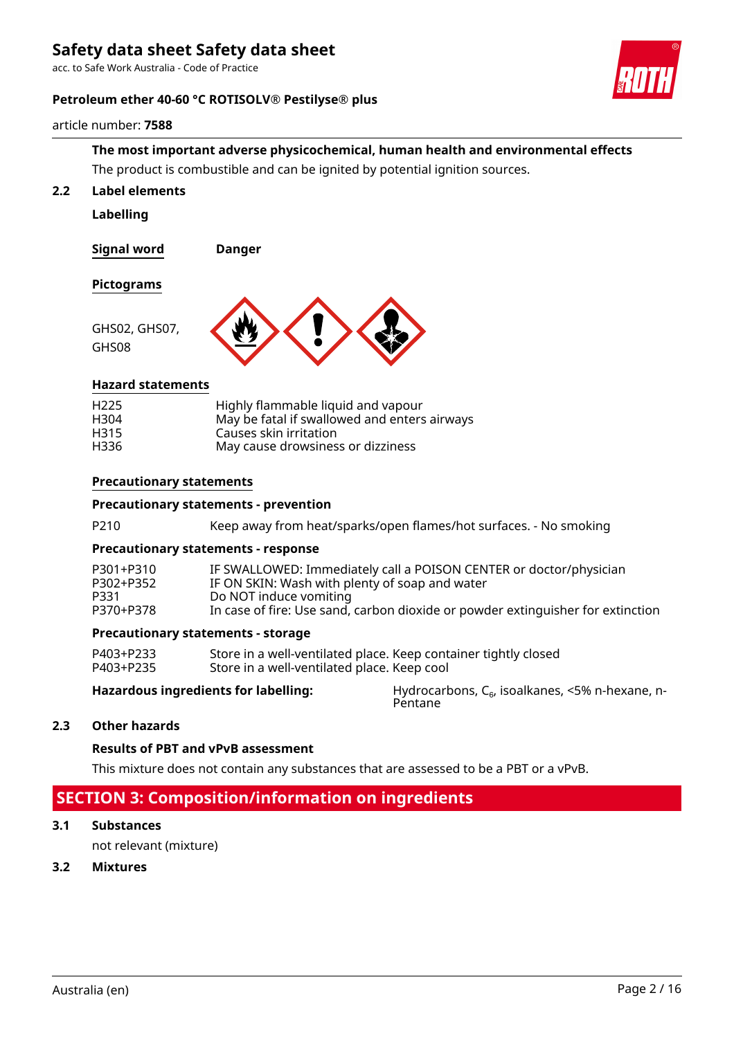acc. to Safe Work Australia - Code of Practice

### **Petroleum ether 40-60 °C ROTISOLV® Pestilyse® plus**



#### article number: **7588**

# **The most important adverse physicochemical, human health and environmental effects** The product is combustible and can be ignited by potential ignition sources.

### **2.2 Label elements**

**Labelling**

**Signal word Danger**

### **Pictograms**

GHS08



### **Hazard statements**

| H <sub>225</sub> | Highly flammable liquid and vapour           |
|------------------|----------------------------------------------|
| H304             | May be fatal if swallowed and enters airways |
| H315             | Causes skin irritation                       |
| H336             | May cause drowsiness or dizziness            |

### **Precautionary statements**

### **Precautionary statements - prevention**

P210 Keep away from heat/sparks/open flames/hot surfaces. - No smoking

### **Precautionary statements - response**

| P301+P310 | IF SWALLOWED: Immediately call a POISON CENTER or doctor/physician              |
|-----------|---------------------------------------------------------------------------------|
| P302+P352 | IF ON SKIN: Wash with plenty of soap and water                                  |
| P331.     | Do NOT induce vomiting                                                          |
| P370+P378 | In case of fire: Use sand, carbon dioxide or powder extinguisher for extinction |
|           |                                                                                 |

#### **Precautionary statements - storage**

| P403+P233 | Store in a well-ventilated place. Keep container tightly closed |
|-----------|-----------------------------------------------------------------|
| P403+P235 | Store in a well-ventilated place. Keep cool                     |

**Hazardous ingredients for labelling:** Hydrocarbons, C<sub>6</sub>, isoalkanes, <5% n-hexane, n-Pentane

### **2.3 Other hazards**

### **Results of PBT and vPvB assessment**

This mixture does not contain any substances that are assessed to be a PBT or a vPvB.

# **SECTION 3: Composition/information on ingredients**

#### **3.1 Substances**

not relevant (mixture)

#### **3.2 Mixtures**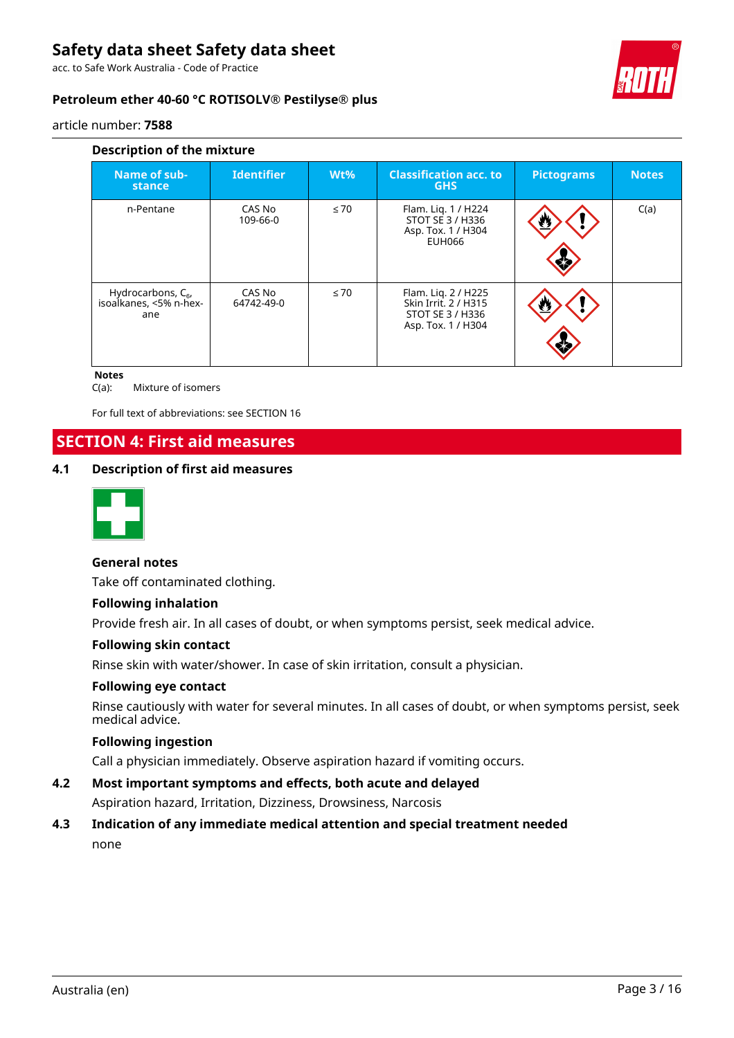acc. to Safe Work Australia - Code of Practice



# **Petroleum ether 40-60 °C ROTISOLV® Pestilyse® plus**

article number: **7588**

| Description of the mixture                               |                      |           |                                                                                       |                   |              |  |  |  |  |
|----------------------------------------------------------|----------------------|-----------|---------------------------------------------------------------------------------------|-------------------|--------------|--|--|--|--|
| Name of sub-<br>stance                                   | <b>Identifier</b>    | $Wt\%$    | <b>Classification acc. to</b><br><b>GHS</b>                                           | <b>Pictograms</b> | <b>Notes</b> |  |  |  |  |
| n-Pentane                                                | CAS No<br>109-66-0   | $\leq 70$ | Flam. Lig. 1 / H224<br>STOT SE 3 / H336<br>Asp. Tox. 1 / H304<br><b>EUH066</b>        | U                 | C(a)         |  |  |  |  |
| Hydrocarbons, $C_{6}$ ,<br>isoalkanes, <5% n-hex-<br>ane | CAS No<br>64742-49-0 | $\leq 70$ | Flam. Lig. 2 / H225<br>Skin Irrit. 2 / H315<br>STOT SE 3 / H336<br>Asp. Tox. 1 / H304 | W                 |              |  |  |  |  |

#### **Notes**

C(a): Mixture of isomers

For full text of abbreviations: see SECTION 16

# **SECTION 4: First aid measures**

### **4.1 Description of first aid measures**



### **General notes**

Take off contaminated clothing.

### **Following inhalation**

Provide fresh air. In all cases of doubt, or when symptoms persist, seek medical advice.

### **Following skin contact**

Rinse skin with water/shower. In case of skin irritation, consult a physician.

### **Following eye contact**

Rinse cautiously with water for several minutes. In all cases of doubt, or when symptoms persist, seek medical advice.

### **Following ingestion**

Call a physician immediately. Observe aspiration hazard if vomiting occurs.

# **4.2 Most important symptoms and effects, both acute and delayed**

Aspiration hazard, Irritation, Dizziness, Drowsiness, Narcosis

# **4.3 Indication of any immediate medical attention and special treatment needed** none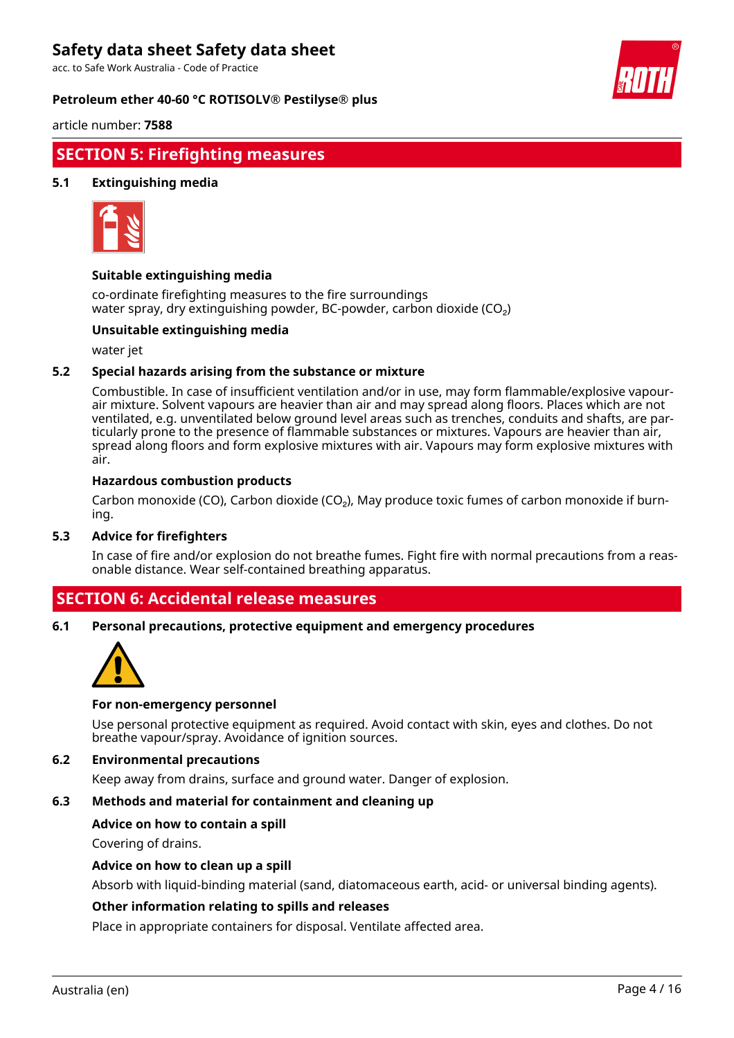acc. to Safe Work Australia - Code of Practice

### **Petroleum ether 40-60 °C ROTISOLV® Pestilyse® plus**



article number: **7588**

# **SECTION 5: Firefighting measures**

### **5.1 Extinguishing media**



### **Suitable extinguishing media**

co-ordinate firefighting measures to the fire surroundings water spray, dry extinguishing powder, BC-powder, carbon dioxide (CO<sub>2</sub>)

#### **Unsuitable extinguishing media**

water jet

### **5.2 Special hazards arising from the substance or mixture**

Combustible. In case of insufficient ventilation and/or in use, may form flammable/explosive vapourair mixture. Solvent vapours are heavier than air and may spread along floors. Places which are not ventilated, e.g. unventilated below ground level areas such as trenches, conduits and shafts, are particularly prone to the presence of flammable substances or mixtures. Vapours are heavier than air, spread along floors and form explosive mixtures with air. Vapours may form explosive mixtures with air.

#### **Hazardous combustion products**

Carbon monoxide (CO), Carbon dioxide (CO₂), May produce toxic fumes of carbon monoxide if burning.

#### **5.3 Advice for firefighters**

In case of fire and/or explosion do not breathe fumes. Fight fire with normal precautions from a reasonable distance. Wear self-contained breathing apparatus.

# **SECTION 6: Accidental release measures**

**6.1 Personal precautions, protective equipment and emergency procedures**



#### **For non-emergency personnel**

Use personal protective equipment as required. Avoid contact with skin, eyes and clothes. Do not breathe vapour/spray. Avoidance of ignition sources.

### **6.2 Environmental precautions**

Keep away from drains, surface and ground water. Danger of explosion.

### **6.3 Methods and material for containment and cleaning up**

#### **Advice on how to contain a spill**

Covering of drains.

#### **Advice on how to clean up a spill**

Absorb with liquid-binding material (sand, diatomaceous earth, acid- or universal binding agents).

#### **Other information relating to spills and releases**

Place in appropriate containers for disposal. Ventilate affected area.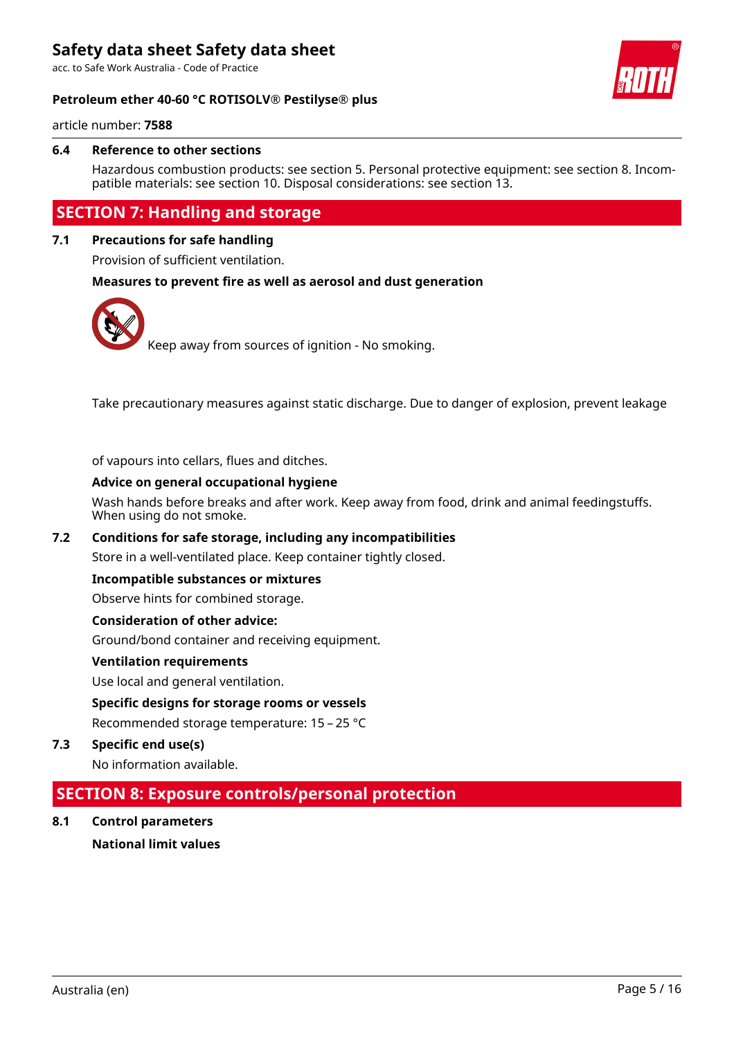acc. to Safe Work Australia - Code of Practice





article number: **7588**

### **6.4 Reference to other sections**

Hazardous combustion products: see section 5. Personal protective equipment: see section 8. Incompatible materials: see section 10. Disposal considerations: see section 13.

# **SECTION 7: Handling and storage**

### **7.1 Precautions for safe handling**

Provision of sufficient ventilation.

### **Measures to prevent fire as well as aerosol and dust generation**



Take precautionary measures against static discharge. Due to danger of explosion, prevent leakage

of vapours into cellars, flues and ditches.

### **Advice on general occupational hygiene**

Wash hands before breaks and after work. Keep away from food, drink and animal feedingstuffs. When using do not smoke.

### **7.2 Conditions for safe storage, including any incompatibilities**

Store in a well-ventilated place. Keep container tightly closed.

### **Incompatible substances or mixtures**

Observe hints for combined storage.

### **Consideration of other advice:**

Ground/bond container and receiving equipment.

#### **Ventilation requirements**

Use local and general ventilation.

### **Specific designs for storage rooms or vessels**

Recommended storage temperature: 15 – 25 °C

**7.3 Specific end use(s)**

No information available.

# **SECTION 8: Exposure controls/personal protection**

**8.1 Control parameters National limit values**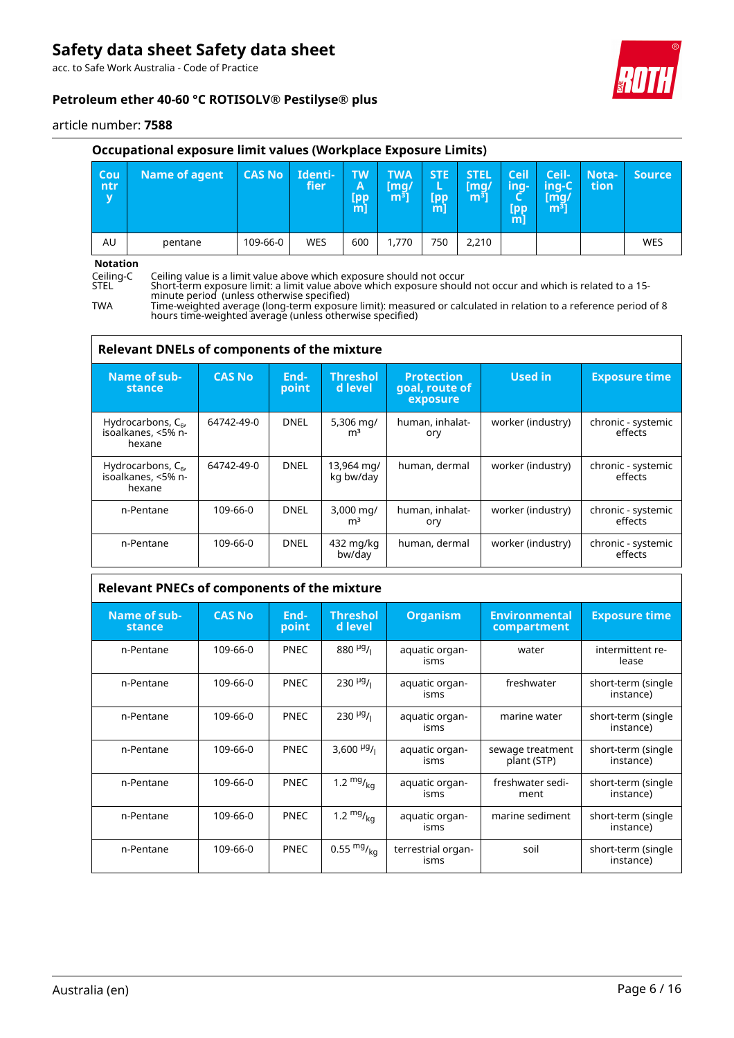acc. to Safe Work Australia - Code of Practice



article number: **7588**

## **Occupational exposure limit values (Workplace Exposure Limits)**

| Cou<br>/ ntr/<br>$\overline{\mathbf{v}}$ | <b>Name of agent</b> | <b>CAS No</b> | Identi-<br>fier | <b>TW</b><br>ΙA.<br><b>Lpp</b><br>m] | <b>TWA</b><br>[mq/<br>m <sup>3</sup> | <b>STE</b><br>(pp)<br>m | <b>STEL</b><br>[mq/<br>m <sup>3</sup> | Ceil<br>ing-<br>Lpp <sup>/</sup><br>m | Ceil-<br>$inq-C$<br>/[mg/<br>m <sup>3</sup> | Nota-<br>tion | <b>Source</b> |
|------------------------------------------|----------------------|---------------|-----------------|--------------------------------------|--------------------------------------|-------------------------|---------------------------------------|---------------------------------------|---------------------------------------------|---------------|---------------|
| AU                                       | pentane              | 109-66-0      | WES             | 600                                  | 1,770                                | 750                     | 2,210                                 |                                       |                                             |               | <b>WES</b>    |
| $1.1 - 1.1 - 1.2 - 1.7$                  |                      |               |                 |                                      |                                      |                         |                                       |                                       |                                             |               |               |

# **Notation**<br>Ceiling-C<br>STEL

Ceiling-C Ceiling value is a limit value above which exposure should not occur

TWA Time-weighted average (long-term exposure limit): measured or calculated in relation to a reference period of 8 hours time-weighted average (unless otherwise specified)

| <b>Relevant DNELs of components of the mixture</b>      |               |               |                                          |                                                 |                   |                               |  |  |
|---------------------------------------------------------|---------------|---------------|------------------------------------------|-------------------------------------------------|-------------------|-------------------------------|--|--|
| Name of sub-<br>stance                                  | <b>CAS No</b> | End-<br>point | <b>Threshol</b><br>d level               | <b>Protection</b><br>goal, route of<br>exposure | <b>Used in</b>    | <b>Exposure time</b>          |  |  |
| Hydrocarbons, $C_{6}$ ,<br>isoalkanes, <5% n-<br>hexane | 64742-49-0    | <b>DNEL</b>   | 5,306 $mq/$<br>m <sup>3</sup>            | human, inhalat-<br>ory                          | worker (industry) | chronic - systemic<br>effects |  |  |
| Hydrocarbons, $C_{6}$ ,<br>isoalkanes, <5% n-<br>hexane | 64742-49-0    | <b>DNEL</b>   | 13,964 mg/<br>kg bw/day                  | human, dermal                                   | worker (industry) | chronic - systemic<br>effects |  |  |
| n-Pentane                                               | 109-66-0      | <b>DNEL</b>   | $3,000 \,\mathrm{mag}$<br>m <sup>3</sup> | human, inhalat-<br>ory                          | worker (industry) | chronic - systemic<br>effects |  |  |
| n-Pentane                                               | 109-66-0      | <b>DNEL</b>   | 432 mg/kg<br>bw/day                      | human, dermal                                   | worker (industry) | chronic - systemic<br>effects |  |  |

# **Relevant PNECs of components of the mixture**

| Name of sub-<br>stance | <b>CAS No</b> | End-<br>point | <b>Threshol</b><br>d level           | <b>Organism</b>                 | <b>Environmental</b><br>compartment | <b>Exposure time</b>            |
|------------------------|---------------|---------------|--------------------------------------|---------------------------------|-------------------------------------|---------------------------------|
| n-Pentane              | 109-66-0      | <b>PNEC</b>   | $880\,$ <sup>µg</sup> / <sub>1</sub> | aquatic organ-<br>water<br>isms |                                     | intermittent re-<br>lease       |
| n-Pentane              | 109-66-0      | <b>PNEC</b>   | $230 \frac{\mu g}{I}$                | aquatic organ-<br>isms          | freshwater                          | short-term (single<br>instance) |
| n-Pentane              | 109-66-0      | <b>PNEC</b>   | $230 \frac{\mu g}{\mu}$              | aquatic organ-<br>isms          | marine water                        | short-term (single<br>instance) |
| n-Pentane              | 109-66-0      | <b>PNEC</b>   | 3,600 $\frac{\mu g}{\mu}$            | aquatic organ-<br>isms          | sewage treatment<br>plant (STP)     | short-term (single<br>instance) |
| n-Pentane              | 109-66-0      | <b>PNEC</b>   | 1.2 $mg/_{ka}$                       | aquatic organ-<br>isms          | freshwater sedi-<br>ment            | short-term (single<br>instance) |
| n-Pentane              | 109-66-0      | <b>PNEC</b>   | 1.2 $mg/_{k0}$                       | aquatic organ-<br>isms          | marine sediment                     | short-term (single<br>instance) |
| n-Pentane              | 109-66-0      | <b>PNEC</b>   | 0.55 $mg/kq$                         | terrestrial organ-<br>isms      | soil                                | short-term (single<br>instance) |



STEL Short-term exposure limit: a limit value above which exposure should not occur and which is related to a 15 minute period (unless otherwise specified)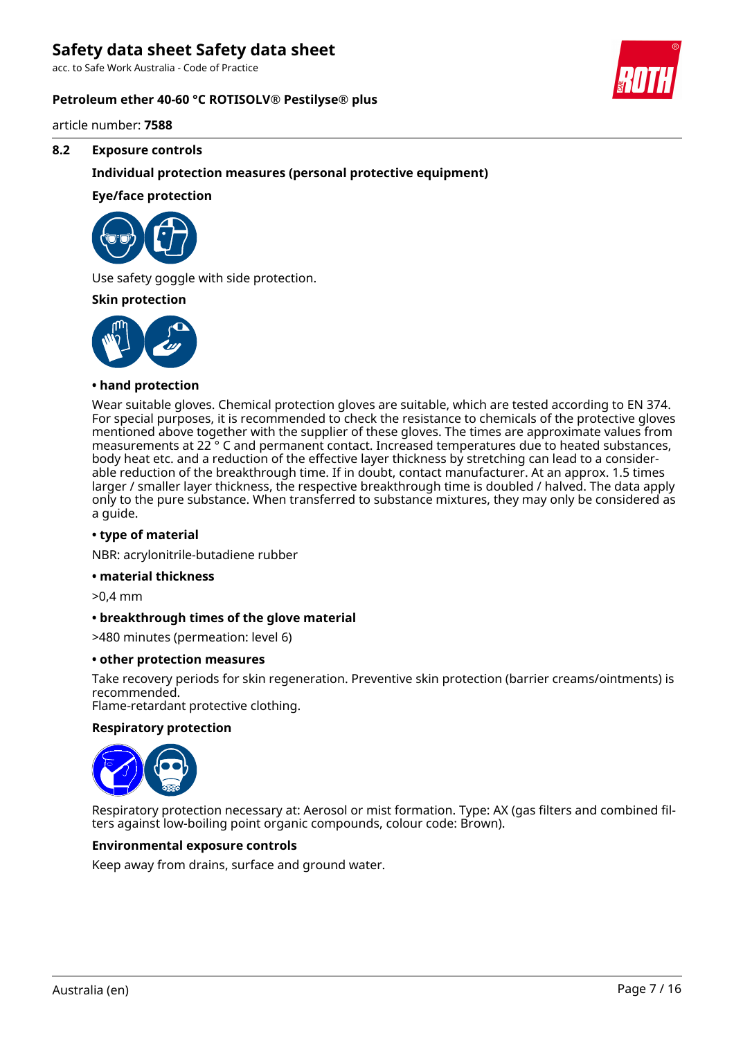acc. to Safe Work Australia - Code of Practice

### **Petroleum ether 40-60 °C ROTISOLV® Pestilyse® plus**

article number: **7588**

### **8.2 Exposure controls**

### **Individual protection measures (personal protective equipment)**

### **Eye/face protection**



Use safety goggle with side protection.

#### **Skin protection**



### **• hand protection**

Wear suitable gloves. Chemical protection gloves are suitable, which are tested according to EN 374. For special purposes, it is recommended to check the resistance to chemicals of the protective gloves mentioned above together with the supplier of these gloves. The times are approximate values from measurements at 22 ° C and permanent contact. Increased temperatures due to heated substances, body heat etc. and a reduction of the effective layer thickness by stretching can lead to a considerable reduction of the breakthrough time. If in doubt, contact manufacturer. At an approx. 1.5 times larger / smaller layer thickness, the respective breakthrough time is doubled / halved. The data apply only to the pure substance. When transferred to substance mixtures, they may only be considered as a guide.

#### **• type of material**

NBR: acrylonitrile-butadiene rubber

#### **• material thickness**

>0,4 mm

#### **• breakthrough times of the glove material**

>480 minutes (permeation: level 6)

#### **• other protection measures**

Take recovery periods for skin regeneration. Preventive skin protection (barrier creams/ointments) is recommended.

Flame-retardant protective clothing.

### **Respiratory protection**



Respiratory protection necessary at: Aerosol or mist formation. Type: AX (gas filters and combined filters against low-boiling point organic compounds, colour code: Brown).

#### **Environmental exposure controls**

Keep away from drains, surface and ground water.

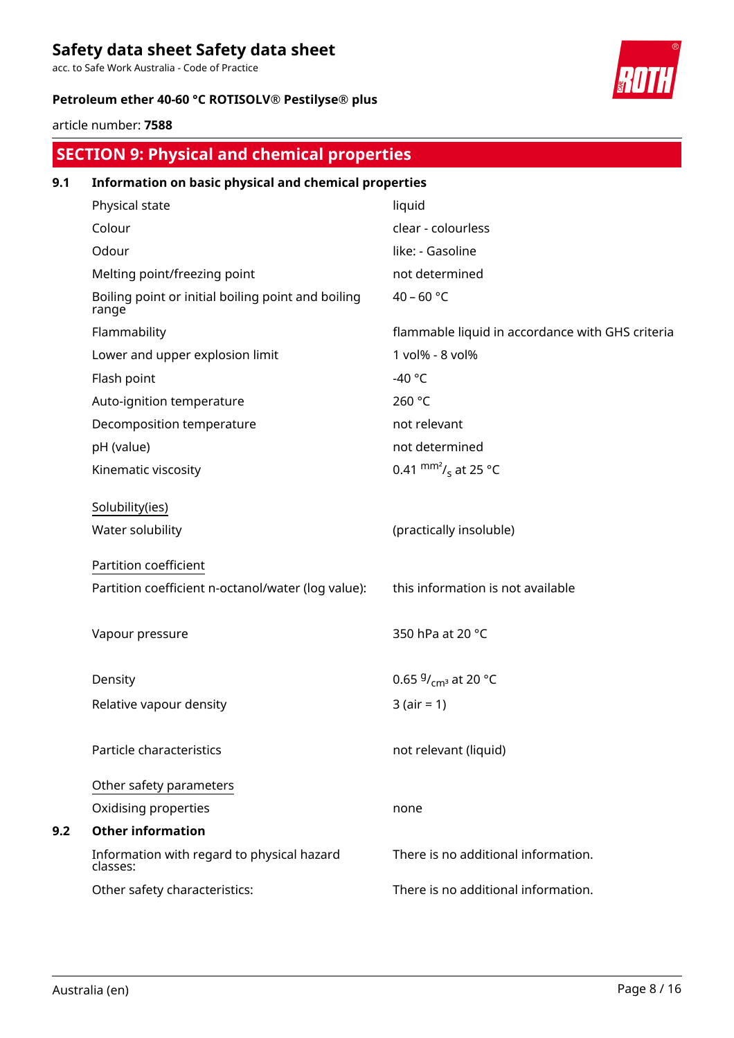acc. to Safe Work Australia - Code of Practice

# **Petroleum ether 40-60 °C ROTISOLV® Pestilyse® plus**



article number: **7588**

|     | <b>SECTION 9: Physical and chemical properties</b>          |                                                  |  |  |  |  |  |
|-----|-------------------------------------------------------------|--------------------------------------------------|--|--|--|--|--|
| 9.1 | Information on basic physical and chemical properties       |                                                  |  |  |  |  |  |
|     | Physical state                                              | liquid                                           |  |  |  |  |  |
|     | Colour                                                      | clear - colourless                               |  |  |  |  |  |
|     | Odour                                                       | like: - Gasoline                                 |  |  |  |  |  |
|     | Melting point/freezing point                                | not determined                                   |  |  |  |  |  |
|     | Boiling point or initial boiling point and boiling<br>range | 40 - 60 °C                                       |  |  |  |  |  |
|     | Flammability                                                | flammable liquid in accordance with GHS criteria |  |  |  |  |  |
|     | Lower and upper explosion limit                             | 1 vol% - 8 vol%                                  |  |  |  |  |  |
|     | Flash point                                                 | -40 $^{\circ}$ C                                 |  |  |  |  |  |
|     | Auto-ignition temperature                                   | 260 °C                                           |  |  |  |  |  |
|     | Decomposition temperature                                   | not relevant                                     |  |  |  |  |  |
|     | pH (value)                                                  | not determined                                   |  |  |  |  |  |
|     | Kinematic viscosity                                         | 0.41 $\text{mm}^2$ / <sub>s</sub> at 25 °C       |  |  |  |  |  |
|     | Solubility(ies)                                             |                                                  |  |  |  |  |  |
|     | Water solubility                                            | (practically insoluble)                          |  |  |  |  |  |
|     | Partition coefficient                                       |                                                  |  |  |  |  |  |
|     | Partition coefficient n-octanol/water (log value):          | this information is not available                |  |  |  |  |  |
|     | Vapour pressure                                             | 350 hPa at 20 °C                                 |  |  |  |  |  |
|     | Density                                                     | 0.65 $9/_{cm^3}$ at 20 °C                        |  |  |  |  |  |
|     | Relative vapour density                                     | $3 (air = 1)$                                    |  |  |  |  |  |
|     | Particle characteristics                                    | not relevant (liquid)                            |  |  |  |  |  |
|     | Other safety parameters                                     |                                                  |  |  |  |  |  |
|     | Oxidising properties                                        | none                                             |  |  |  |  |  |
| 9.2 | <b>Other information</b>                                    |                                                  |  |  |  |  |  |
|     | Information with regard to physical hazard<br>classes:      | There is no additional information.              |  |  |  |  |  |
|     | Other safety characteristics:                               | There is no additional information.              |  |  |  |  |  |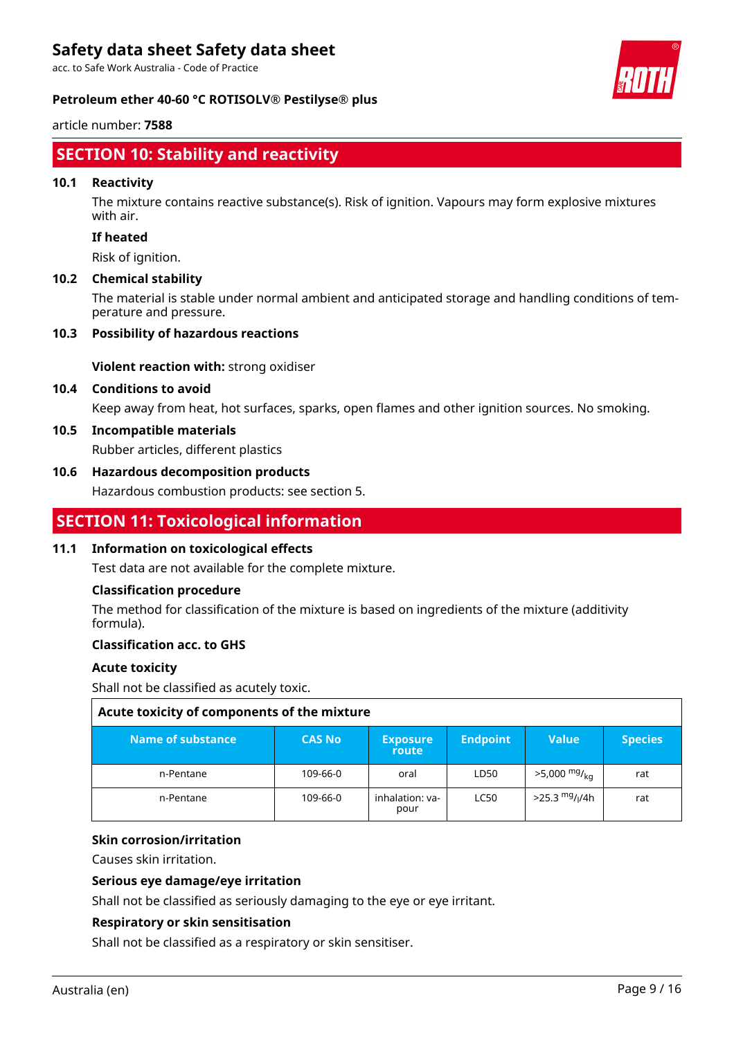acc. to Safe Work Australia - Code of Practice

# **Petroleum ether 40-60 °C ROTISOLV® Pestilyse® plus**

article number: **7588**

# **SECTION 10: Stability and reactivity**

### **10.1 Reactivity**

The mixture contains reactive substance(s). Risk of ignition. Vapours may form explosive mixtures with air.

# **If heated**

Risk of ignition.

### **10.2 Chemical stability**

The material is stable under normal ambient and anticipated storage and handling conditions of temperature and pressure.

### **10.3 Possibility of hazardous reactions**

**Violent reaction with:** strong oxidiser

## **10.4 Conditions to avoid**

Keep away from heat, hot surfaces, sparks, open flames and other ignition sources. No smoking.

# **10.5 Incompatible materials**

Rubber articles, different plastics

# **10.6 Hazardous decomposition products**

Hazardous combustion products: see section 5.

# **SECTION 11: Toxicological information**

### **11.1 Information on toxicological effects**

Test data are not available for the complete mixture.

### **Classification procedure**

The method for classification of the mixture is based on ingredients of the mixture (additivity formula).

### **Classification acc. to GHS**

### **Acute toxicity**

Shall not be classified as acutely toxic.

| Acute toxicity of components of the mixture |               |                          |                 |                                |                |  |  |  |
|---------------------------------------------|---------------|--------------------------|-----------------|--------------------------------|----------------|--|--|--|
| Name of substance                           | <b>CAS No</b> | <b>Exposure</b><br>route | <b>Endpoint</b> | <b>Value</b>                   | <b>Species</b> |  |  |  |
| n-Pentane                                   | 109-66-0      | oral                     | LD50            | $>5,000$ mg/ <sub>ka</sub>     | rat            |  |  |  |
| n-Pentane                                   | 109-66-0      | inhalation: va-<br>pour  | <b>LC50</b>     | $>$ 25.3 <sup>mg</sup> / $/4h$ | rat            |  |  |  |

### **Skin corrosion/irritation**

Causes skin irritation.

### **Serious eye damage/eye irritation**

Shall not be classified as seriously damaging to the eye or eye irritant.

# **Respiratory or skin sensitisation**

Shall not be classified as a respiratory or skin sensitiser.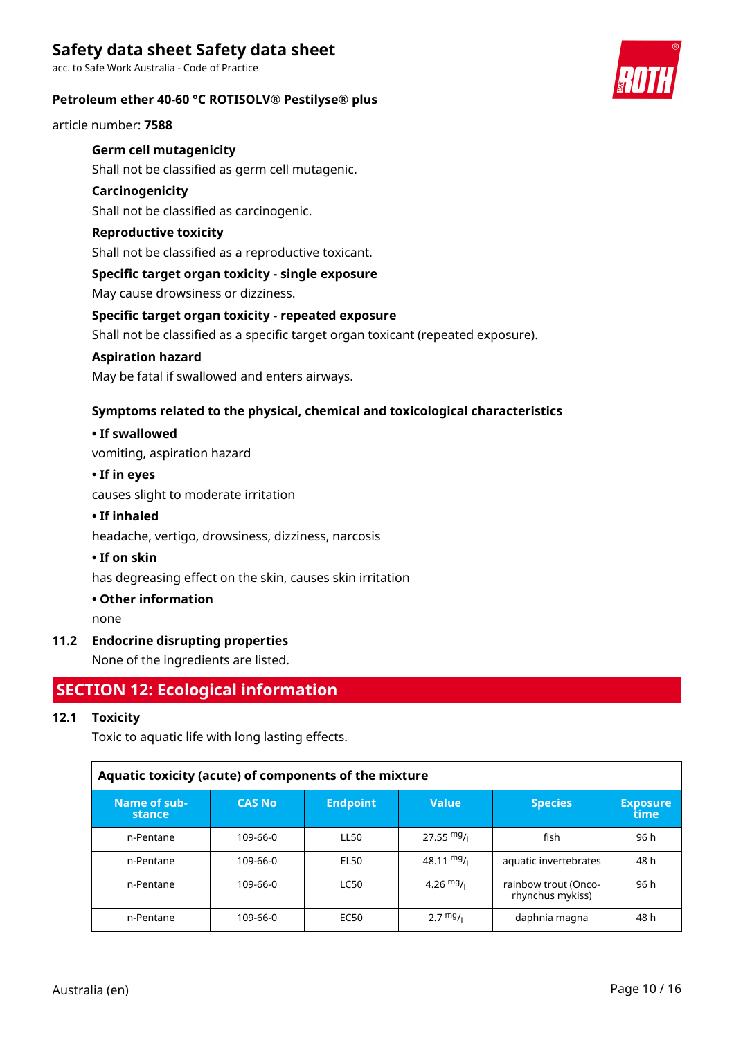acc. to Safe Work Australia - Code of Practice

### **Petroleum ether 40-60 °C ROTISOLV® Pestilyse® plus**

article number: **7588**



# **Germ cell mutagenicity**

Shall not be classified as germ cell mutagenic.

### **Carcinogenicity**

Shall not be classified as carcinogenic.

# **Reproductive toxicity**

Shall not be classified as a reproductive toxicant.

### **Specific target organ toxicity - single exposure**

May cause drowsiness or dizziness.

### **Specific target organ toxicity - repeated exposure**

Shall not be classified as a specific target organ toxicant (repeated exposure).

### **Aspiration hazard**

May be fatal if swallowed and enters airways.

# **Symptoms related to the physical, chemical and toxicological characteristics**

### **• If swallowed**

vomiting, aspiration hazard

### **• If in eyes**

causes slight to moderate irritation

### **• If inhaled**

headache, vertigo, drowsiness, dizziness, narcosis

### **• If on skin**

has degreasing effect on the skin, causes skin irritation

### **• Other information**

none

# **11.2 Endocrine disrupting properties**

None of the ingredients are listed.

# **SECTION 12: Ecological information**

# **12.1 Toxicity**

Toxic to aquatic life with long lasting effects.

| Aquatic toxicity (acute) of components of the mixture |               |                 |                      |                                          |                         |  |  |  |  |
|-------------------------------------------------------|---------------|-----------------|----------------------|------------------------------------------|-------------------------|--|--|--|--|
| Name of sub-<br>stance                                | <b>CAS No</b> | <b>Endpoint</b> | <b>Value</b>         | <b>Species</b>                           | <b>Exposure</b><br>time |  |  |  |  |
| n-Pentane                                             | 109-66-0      | <b>LL50</b>     | $27.55 \text{ mg}$ / | fish                                     | 96 h                    |  |  |  |  |
| n-Pentane                                             | 109-66-0      | EL50            | $48.11 \text{ mg}$ / | aquatic invertebrates                    | 48 h                    |  |  |  |  |
| n-Pentane                                             | 109-66-0      | <b>LC50</b>     | 4.26 $mg/1$          | rainbow trout (Onco-<br>rhynchus mykiss) | 96 h                    |  |  |  |  |
| n-Pentane                                             | 109-66-0      | EC50            | $2.7 \frac{mg}{l}$   | daphnia magna                            | 48 h                    |  |  |  |  |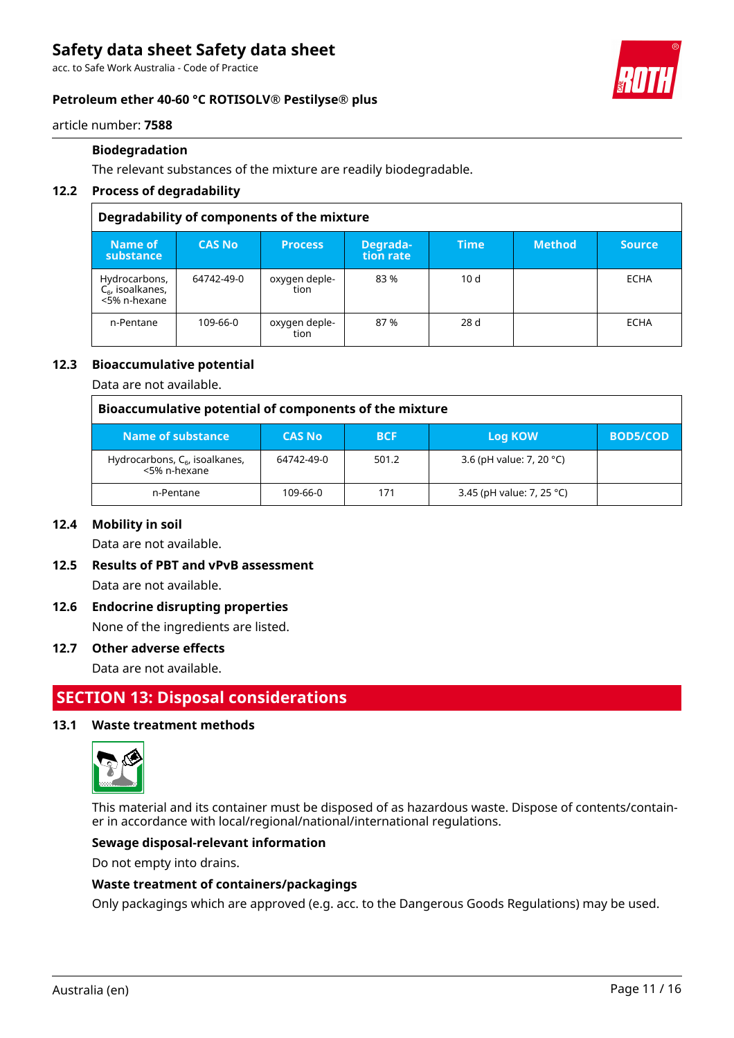acc. to Safe Work Australia - Code of Practice

### **Petroleum ether 40-60 °C ROTISOLV® Pestilyse® plus**



article number: **7588**

### **Biodegradation**

The relevant substances of the mixture are readily biodegradable.

### **12.2 Process of degradability**

| Degradability of components of the mixture           |               |                       |                       |             |               |               |
|------------------------------------------------------|---------------|-----------------------|-----------------------|-------------|---------------|---------------|
| Name of<br>substance                                 | <b>CAS No</b> | <b>Process</b>        | Degrada-<br>tion rate | <b>Time</b> | <b>Method</b> | <b>Source</b> |
| Hydrocarbons,<br>$C_6$ , isoalkanes,<br><5% n-hexane | 64742-49-0    | oxygen deple-<br>tion | 83%                   | 10d         |               | <b>ECHA</b>   |
| n-Pentane                                            | 109-66-0      | oxygen deple-<br>tion | 87%                   | 28d         |               | <b>ECHA</b>   |

### **12.3 Bioaccumulative potential**

Data are not available.

| Bioaccumulative potential of components of the mixture |               |            |                                    |                 |
|--------------------------------------------------------|---------------|------------|------------------------------------|-----------------|
| Name of substance                                      | <b>CAS No</b> | <b>BCF</b> | Log KOW                            | <b>BOD5/COD</b> |
| Hydrocarbons, $C_6$ , isoalkanes,<br><5% n-hexane      | 64742-49-0    | 501.2      | 3.6 (pH value: 7, 20 $^{\circ}$ C) |                 |
| n-Pentane                                              | 109-66-0      | 171        | 3.45 (pH value: 7, 25 °C)          |                 |

### **12.4 Mobility in soil**

Data are not available.

- **12.5 Results of PBT and vPvB assessment** Data are not available.
- **12.6 Endocrine disrupting properties** None of the ingredients are listed.

### **12.7 Other adverse effects**

Data are not available.

# **SECTION 13: Disposal considerations**

### **13.1 Waste treatment methods**



This material and its container must be disposed of as hazardous waste. Dispose of contents/container in accordance with local/regional/national/international regulations.

### **Sewage disposal-relevant information**

Do not empty into drains.

### **Waste treatment of containers/packagings**

Only packagings which are approved (e.g. acc. to the Dangerous Goods Regulations) may be used.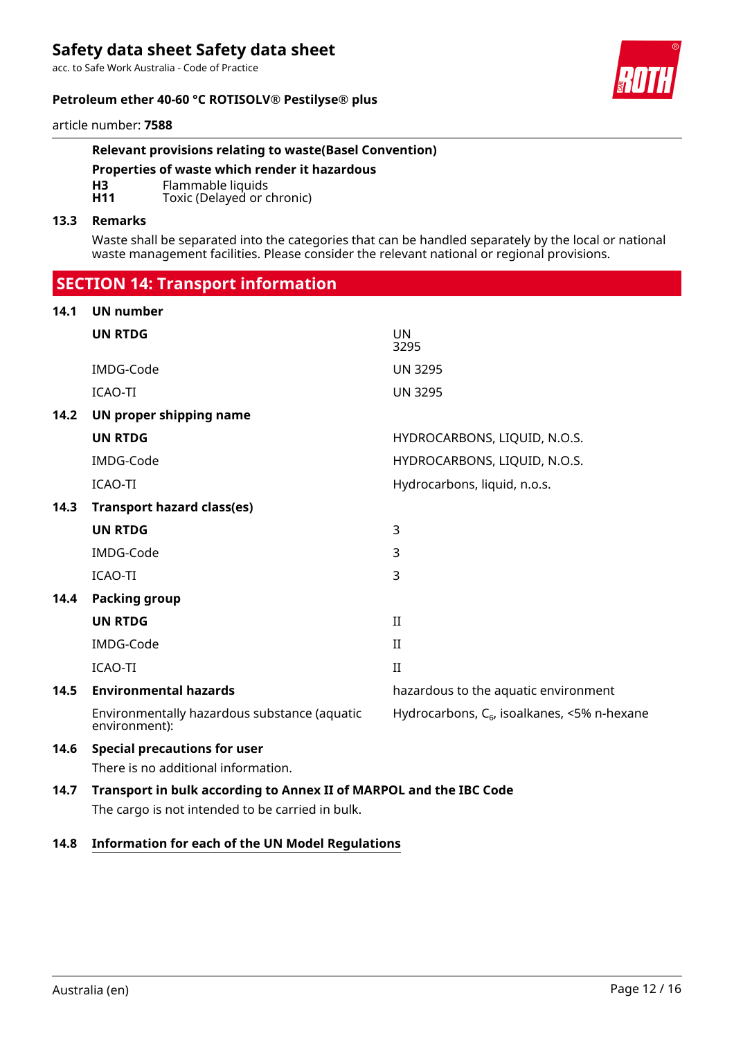acc. to Safe Work Australia - Code of Practice

### **Petroleum ether 40-60 °C ROTISOLV® Pestilyse® plus**



article number: **7588**

## **Relevant provisions relating to waste(Basel Convention)**

**Properties of waste which render it hazardous**

**H3** Flammable liquids<br>**H11** Toxic (Delayed or c

Toxic (Delayed or chronic)

### **13.3 Remarks**

Waste shall be separated into the categories that can be handled separately by the local or national waste management facilities. Please consider the relevant national or regional provisions.

 **SECTION 14: Transport information**

| 14.1 | <b>UN number</b>                                                   |                                                  |
|------|--------------------------------------------------------------------|--------------------------------------------------|
|      | <b>UN RTDG</b>                                                     | <b>UN</b><br>3295                                |
|      | IMDG-Code                                                          | <b>UN 3295</b>                                   |
|      | <b>ICAO-TI</b>                                                     | <b>UN 3295</b>                                   |
| 14.2 | UN proper shipping name                                            |                                                  |
|      | <b>UN RTDG</b>                                                     | HYDROCARBONS, LIQUID, N.O.S.                     |
|      | IMDG-Code                                                          | HYDROCARBONS, LIQUID, N.O.S.                     |
|      | <b>ICAO-TI</b>                                                     | Hydrocarbons, liquid, n.o.s.                     |
| 14.3 | <b>Transport hazard class(es)</b>                                  |                                                  |
|      | <b>UN RTDG</b>                                                     | 3                                                |
|      | IMDG-Code                                                          | 3                                                |
|      | ICAO-TI                                                            | 3                                                |
| 14.4 | <b>Packing group</b>                                               |                                                  |
|      | <b>UN RTDG</b>                                                     | $\mathbf{I}$                                     |
|      | IMDG-Code                                                          | $\mathbf{I}$                                     |
|      | <b>ICAO-TI</b>                                                     | $\rm II$                                         |
| 14.5 | <b>Environmental hazards</b>                                       | hazardous to the aquatic environment             |
|      | Environmentally hazardous substance (aquatic<br>environment):      | Hydrocarbons, $C_{6}$ , isoalkanes, <5% n-hexane |
| 14.6 | <b>Special precautions for user</b>                                |                                                  |
|      | There is no additional information.                                |                                                  |
| 14.7 | Transport in bulk according to Annex II of MARPOL and the IBC Code |                                                  |
|      | The cargo is not intended to be carried in bulk.                   |                                                  |

## **14.8 Information for each of the UN Model Regulations**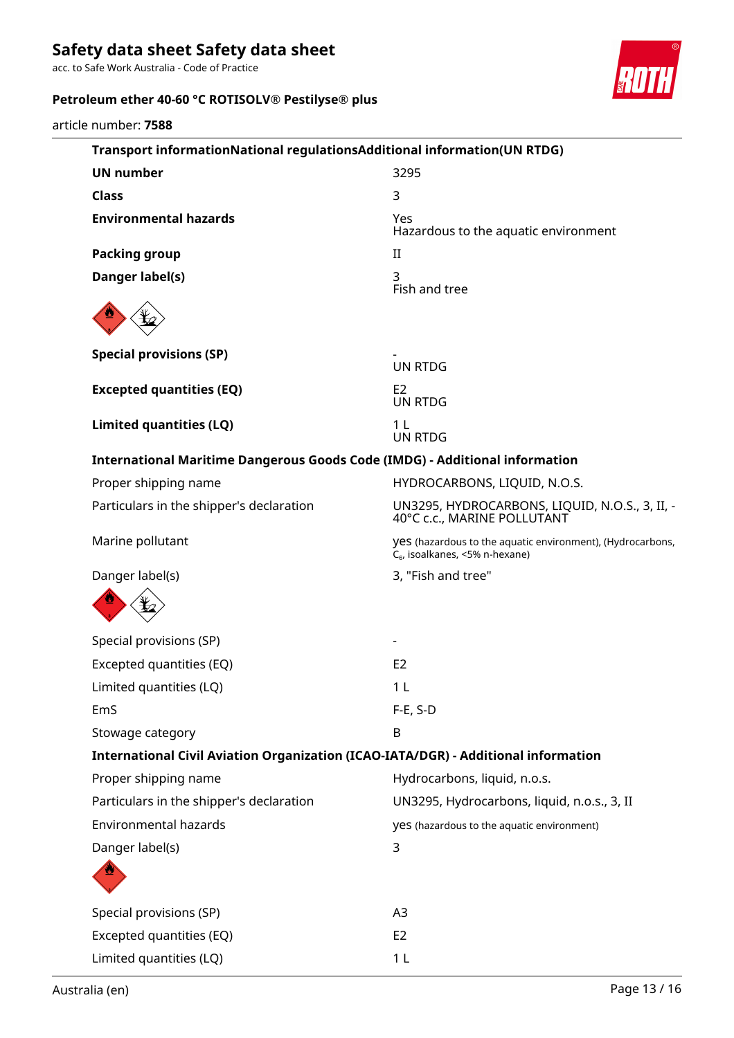acc. to Safe Work Australia - Code of Practice

# **Petroleum ether 40-60 °C ROTISOLV® Pestilyse® plus**



article number: **7588**

| Transport informationNational regulationsAdditional information(UN RTDG)                                 |
|----------------------------------------------------------------------------------------------------------|
| 3295                                                                                                     |
| 3                                                                                                        |
| Yes<br>Hazardous to the aquatic environment                                                              |
| $_{\rm II}$                                                                                              |
| 3<br>Fish and tree                                                                                       |
|                                                                                                          |
| <b>UN RTDG</b>                                                                                           |
| E <sub>2</sub><br><b>UN RTDG</b>                                                                         |
| 1 <sub>L</sub><br><b>UN RTDG</b>                                                                         |
| <b>International Maritime Dangerous Goods Code (IMDG) - Additional information</b>                       |
| HYDROCARBONS, LIQUID, N.O.S.                                                                             |
| UN3295, HYDROCARBONS, LIQUID, N.O.S., 3, II, -<br>40°C c.c., MARINE POLLUTANT                            |
| yes (hazardous to the aquatic environment), (Hydrocarbons,<br>C <sub>6</sub> , isoalkanes, <5% n-hexane) |
| 3, "Fish and tree"                                                                                       |
|                                                                                                          |
|                                                                                                          |
| E <sub>2</sub>                                                                                           |
| 1 L                                                                                                      |
| $F-E$ , S-D                                                                                              |
| B                                                                                                        |
| International Civil Aviation Organization (ICAO-IATA/DGR) - Additional information                       |
| Hydrocarbons, liquid, n.o.s.                                                                             |
| UN3295, Hydrocarbons, liquid, n.o.s., 3, II                                                              |
| yes (hazardous to the aquatic environment)                                                               |
| 3                                                                                                        |
|                                                                                                          |
| A <sub>3</sub>                                                                                           |
| E <sub>2</sub>                                                                                           |
| 1 <sub>L</sub>                                                                                           |
|                                                                                                          |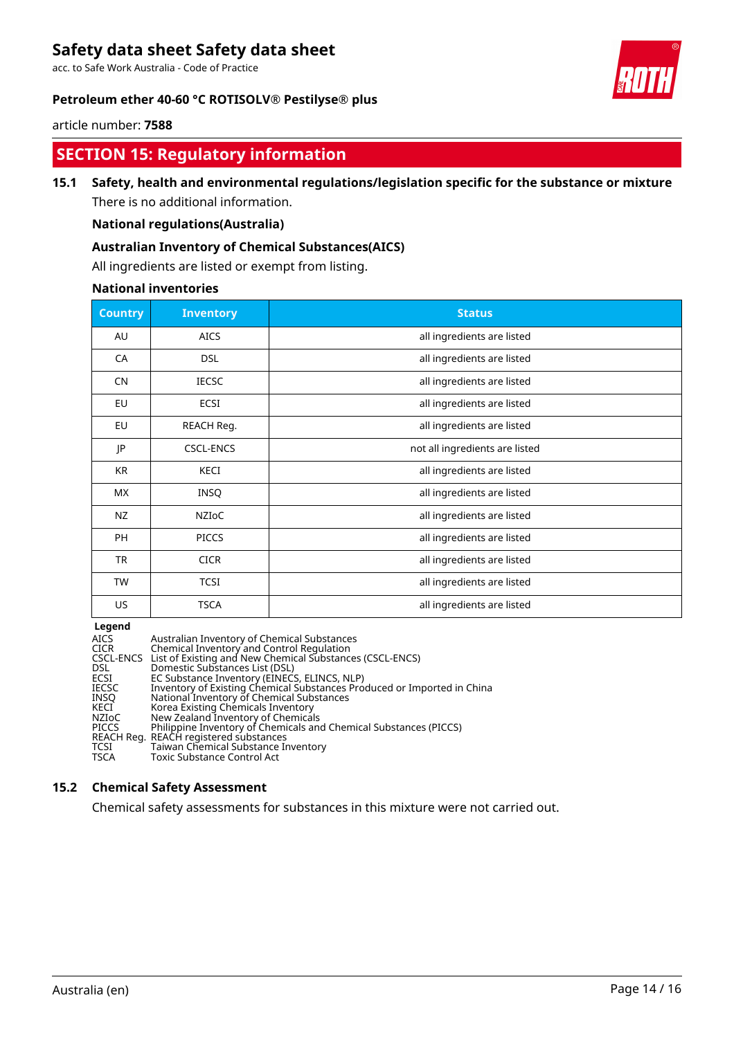acc. to Safe Work Australia - Code of Practice

## **Petroleum ether 40-60 °C ROTISOLV® Pestilyse® plus**



article number: **7588**

# **SECTION 15: Regulatory information**

# **15.1 Safety, health and environmental regulations/legislation specific for the substance or mixture**

There is no additional information.

# **National regulations(Australia)**

### **Australian Inventory of Chemical Substances(AICS)**

All ingredients are listed or exempt from listing.

### **National inventories**

| <b>Country</b> | <b>Inventory</b> | <b>Status</b>                  |
|----------------|------------------|--------------------------------|
| AU             | <b>AICS</b>      | all ingredients are listed     |
| CA             | <b>DSL</b>       | all ingredients are listed     |
| <b>CN</b>      | <b>IECSC</b>     | all ingredients are listed     |
| EU             | ECSI             | all ingredients are listed     |
| EU             | REACH Reg.       | all ingredients are listed     |
| JP             | <b>CSCL-ENCS</b> | not all ingredients are listed |
| KR             | <b>KECI</b>      | all ingredients are listed     |
| <b>MX</b>      | <b>INSQ</b>      | all ingredients are listed     |
| NZ             | <b>NZIOC</b>     | all ingredients are listed     |
| PH             | <b>PICCS</b>     | all ingredients are listed     |
| TR             | <b>CICR</b>      | all ingredients are listed     |
| <b>TW</b>      | <b>TCSI</b>      | all ingredients are listed     |
| US             | TSCA             | all ingredients are listed     |

**Legend**

| <b>AICS</b>  | Australian Inventory of Chemical Substances                             |
|--------------|-------------------------------------------------------------------------|
| <b>CICR</b>  | Chemical Inventory and Control Regulation                               |
|              | CSCL-ENCS List of Existing and New Chemical Substances (CSCL-ENCS)      |
| DSL.         | Domestic Substances List (DSL)                                          |
| <b>ECSI</b>  | EC Substance Inventory (EINECS, ELINCS, NLP)                            |
| <b>IECSC</b> | Inventory of Existing Chemical Substances Produced or Imported in China |
| <b>INSO</b>  | National Inventory of Chemical Substances                               |
| KECI         | Korea Existing Chemicals Inventory                                      |
| NZIoC        | New Zealand Inventory of Chemicals                                      |
| <b>PICCS</b> | Philippine Inventory of Chemicals and Chemical Substances (PICCS)       |
|              | REACH Reg. REACH registered substances                                  |
| TCSI         | Taiwan Chemical Substance Inventory                                     |
| <b>TSCA</b>  | Toxic Substance Control Act                                             |
|              |                                                                         |

## **15.2 Chemical Safety Assessment**

Chemical safety assessments for substances in this mixture were not carried out.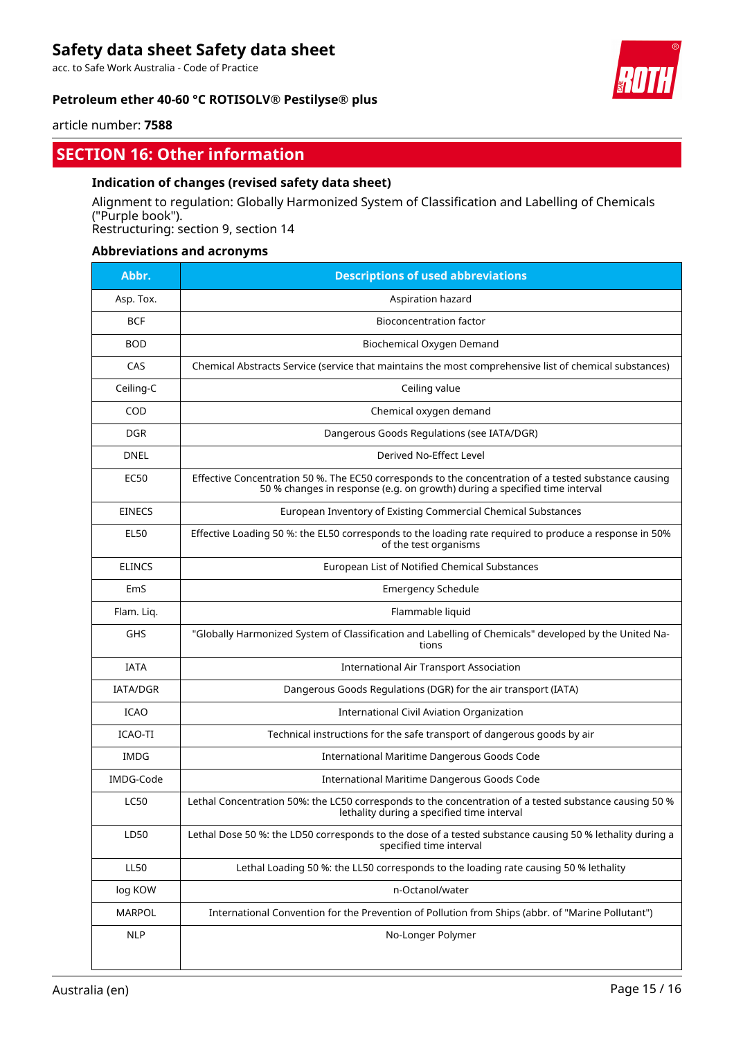acc. to Safe Work Australia - Code of Practice

### **Petroleum ether 40-60 °C ROTISOLV® Pestilyse® plus**



article number: **7588**

# **SECTION 16: Other information**

### **Indication of changes (revised safety data sheet)**

Alignment to regulation: Globally Harmonized System of Classification and Labelling of Chemicals ("Purple book"). Restructuring: section 9, section 14

### **Abbreviations and acronyms**

| Abbr.           | <b>Descriptions of used abbreviations</b>                                                                                                                                           |
|-----------------|-------------------------------------------------------------------------------------------------------------------------------------------------------------------------------------|
| Asp. Tox.       | Aspiration hazard                                                                                                                                                                   |
| <b>BCF</b>      | <b>Bioconcentration factor</b>                                                                                                                                                      |
| <b>BOD</b>      | Biochemical Oxygen Demand                                                                                                                                                           |
| CAS             | Chemical Abstracts Service (service that maintains the most comprehensive list of chemical substances)                                                                              |
| Ceiling-C       | Ceiling value                                                                                                                                                                       |
| <b>COD</b>      | Chemical oxygen demand                                                                                                                                                              |
| <b>DGR</b>      | Dangerous Goods Regulations (see IATA/DGR)                                                                                                                                          |
| <b>DNEL</b>     | Derived No-Effect Level                                                                                                                                                             |
| EC50            | Effective Concentration 50 %. The EC50 corresponds to the concentration of a tested substance causing<br>50 % changes in response (e.g. on growth) during a specified time interval |
| <b>EINECS</b>   | European Inventory of Existing Commercial Chemical Substances                                                                                                                       |
| <b>EL50</b>     | Effective Loading 50 %: the EL50 corresponds to the loading rate required to produce a response in 50%<br>of the test organisms                                                     |
| <b>ELINCS</b>   | European List of Notified Chemical Substances                                                                                                                                       |
| EmS             | <b>Emergency Schedule</b>                                                                                                                                                           |
| Flam. Liq.      | Flammable liquid                                                                                                                                                                    |
| <b>GHS</b>      | "Globally Harmonized System of Classification and Labelling of Chemicals" developed by the United Na-<br>tions                                                                      |
| <b>IATA</b>     | <b>International Air Transport Association</b>                                                                                                                                      |
| <b>IATA/DGR</b> | Dangerous Goods Regulations (DGR) for the air transport (IATA)                                                                                                                      |
| <b>ICAO</b>     | International Civil Aviation Organization                                                                                                                                           |
| ICAO-TI         | Technical instructions for the safe transport of dangerous goods by air                                                                                                             |
| <b>IMDG</b>     | International Maritime Dangerous Goods Code                                                                                                                                         |
| IMDG-Code       | International Maritime Dangerous Goods Code                                                                                                                                         |
| <b>LC50</b>     | Lethal Concentration 50%: the LC50 corresponds to the concentration of a tested substance causing 50 %<br>lethality during a specified time interval                                |
| LD50            | Lethal Dose 50 %: the LD50 corresponds to the dose of a tested substance causing 50 % lethality during a<br>specified time interval                                                 |
| <b>LL50</b>     | Lethal Loading 50 %: the LL50 corresponds to the loading rate causing 50 % lethality                                                                                                |
| log KOW         | n-Octanol/water                                                                                                                                                                     |
| <b>MARPOL</b>   | International Convention for the Prevention of Pollution from Ships (abbr. of "Marine Pollutant")                                                                                   |
| NLP             | No-Longer Polymer                                                                                                                                                                   |